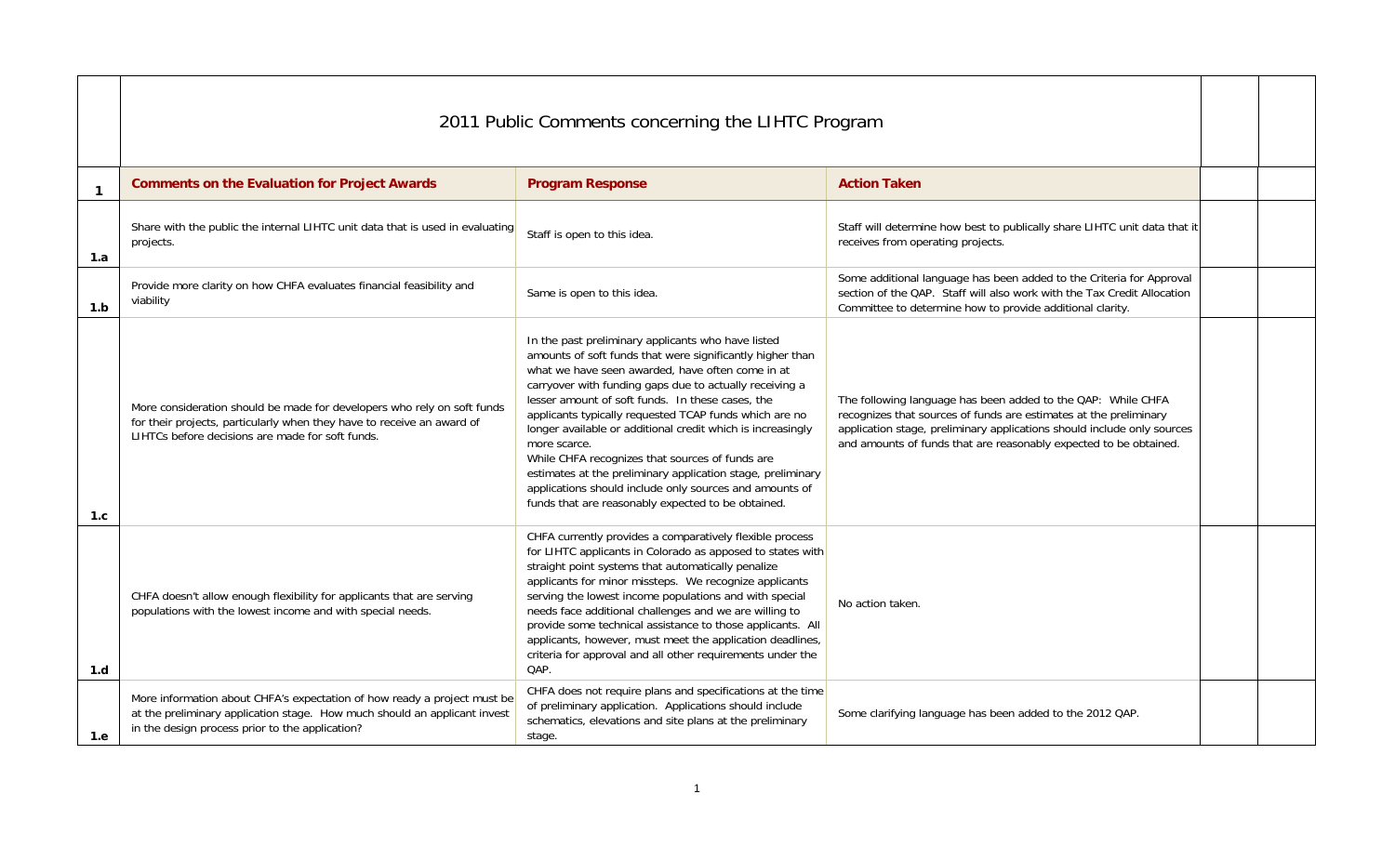|              | 2011 Public Comments concerning the LIHTC Program                                                                                                                                                        |                                                                                                                                                                                                                                                                                                                                                                                                                                                                                                                                                                                                                                                                |                                                                                                                                                                                                                                                                                   |  |  |
|--------------|----------------------------------------------------------------------------------------------------------------------------------------------------------------------------------------------------------|----------------------------------------------------------------------------------------------------------------------------------------------------------------------------------------------------------------------------------------------------------------------------------------------------------------------------------------------------------------------------------------------------------------------------------------------------------------------------------------------------------------------------------------------------------------------------------------------------------------------------------------------------------------|-----------------------------------------------------------------------------------------------------------------------------------------------------------------------------------------------------------------------------------------------------------------------------------|--|--|
| $\mathbf{1}$ | <b>Comments on the Evaluation for Project Awards</b>                                                                                                                                                     | <b>Program Response</b>                                                                                                                                                                                                                                                                                                                                                                                                                                                                                                                                                                                                                                        | <b>Action Taken</b>                                                                                                                                                                                                                                                               |  |  |
| 1.a          | Share with the public the internal LIHTC unit data that is used in evaluating<br>projects.                                                                                                               | Staff is open to this idea.                                                                                                                                                                                                                                                                                                                                                                                                                                                                                                                                                                                                                                    | Staff will determine how best to publically share LIHTC unit data that it<br>receives from operating projects.                                                                                                                                                                    |  |  |
| 1.b          | Provide more clarity on how CHFA evaluates financial feasibility and<br>viability                                                                                                                        | Same is open to this idea.                                                                                                                                                                                                                                                                                                                                                                                                                                                                                                                                                                                                                                     | Some additional language has been added to the Criteria for Approval<br>section of the QAP. Staff will also work with the Tax Credit Allocation<br>Committee to determine how to provide additional clarity.                                                                      |  |  |
| 1.c          | More consideration should be made for developers who rely on soft funds<br>for their projects, particularly when they have to receive an award of<br>LIHTCs before decisions are made for soft funds.    | In the past preliminary applicants who have listed<br>amounts of soft funds that were significantly higher than<br>what we have seen awarded, have often come in at<br>carryover with funding gaps due to actually receiving a<br>lesser amount of soft funds. In these cases, the<br>applicants typically requested TCAP funds which are no<br>longer available or additional credit which is increasingly<br>more scarce.<br>While CHFA recognizes that sources of funds are<br>estimates at the preliminary application stage, preliminary<br>applications should include only sources and amounts of<br>funds that are reasonably expected to be obtained. | The following language has been added to the QAP: While CHFA<br>recognizes that sources of funds are estimates at the preliminary<br>application stage, preliminary applications should include only sources<br>and amounts of funds that are reasonably expected to be obtained. |  |  |
| 1.d          | CHFA doesn't allow enough flexibility for applicants that are serving<br>populations with the lowest income and with special needs.                                                                      | CHFA currently provides a comparatively flexible process<br>for LIHTC applicants in Colorado as apposed to states with<br>straight point systems that automatically penalize<br>applicants for minor missteps. We recognize applicants<br>serving the lowest income populations and with special<br>needs face additional challenges and we are willing to<br>provide some technical assistance to those applicants. All<br>applicants, however, must meet the application deadlines,<br>criteria for approval and all other requirements under the<br>QAP.                                                                                                    | No action taken.                                                                                                                                                                                                                                                                  |  |  |
| 1.e          | More information about CHFA's expectation of how ready a project must be<br>at the preliminary application stage. How much should an applicant invest<br>in the design process prior to the application? | CHFA does not require plans and specifications at the time<br>of preliminary application. Applications should include<br>schematics, elevations and site plans at the preliminary<br>stage.                                                                                                                                                                                                                                                                                                                                                                                                                                                                    | Some clarifying language has been added to the 2012 QAP.                                                                                                                                                                                                                          |  |  |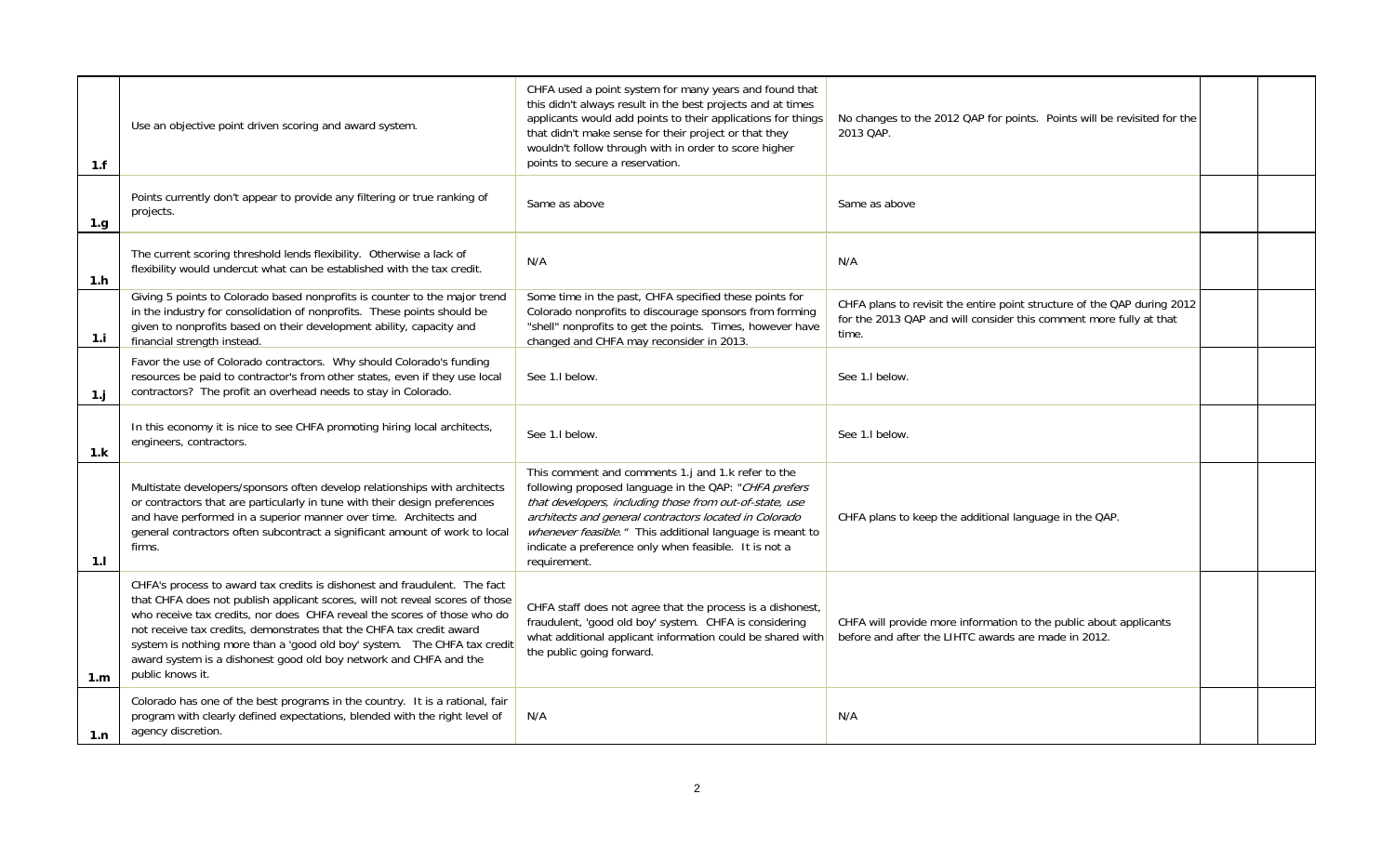| 1.f            | Use an objective point driven scoring and award system.                                                                                                                                                                                                                                                                                                                                                                                                                            | CHFA used a point system for many years and found that<br>this didn't always result in the best projects and at times<br>applicants would add points to their applications for things<br>that didn't make sense for their project or that they<br>wouldn't follow through with in order to score higher<br>points to secure a reservation.                            | No changes to the 2012 QAP for points. Points will be revisited for the<br>2013 QAP.                                                                   |  |
|----------------|------------------------------------------------------------------------------------------------------------------------------------------------------------------------------------------------------------------------------------------------------------------------------------------------------------------------------------------------------------------------------------------------------------------------------------------------------------------------------------|-----------------------------------------------------------------------------------------------------------------------------------------------------------------------------------------------------------------------------------------------------------------------------------------------------------------------------------------------------------------------|--------------------------------------------------------------------------------------------------------------------------------------------------------|--|
| 1.g.           | Points currently don't appear to provide any filtering or true ranking of<br>projects.                                                                                                                                                                                                                                                                                                                                                                                             | Same as above                                                                                                                                                                                                                                                                                                                                                         | Same as above                                                                                                                                          |  |
| 1.h            | The current scoring threshold lends flexibility. Otherwise a lack of<br>flexibility would undercut what can be established with the tax credit.                                                                                                                                                                                                                                                                                                                                    | N/A                                                                                                                                                                                                                                                                                                                                                                   | N/A                                                                                                                                                    |  |
| 1.i            | Giving 5 points to Colorado based nonprofits is counter to the major trend<br>in the industry for consolidation of nonprofits. These points should be<br>given to nonprofits based on their development ability, capacity and<br>financial strength instead.                                                                                                                                                                                                                       | Some time in the past, CHFA specified these points for<br>Colorado nonprofits to discourage sponsors from forming<br>"shell" nonprofits to get the points. Times, however have<br>changed and CHFA may reconsider in 2013.                                                                                                                                            | CHFA plans to revisit the entire point structure of the QAP during 2012<br>for the 2013 QAP and will consider this comment more fully at that<br>time. |  |
| 1 <sub>j</sub> | Favor the use of Colorado contractors. Why should Colorado's funding<br>resources be paid to contractor's from other states, even if they use local<br>contractors? The profit an overhead needs to stay in Colorado.                                                                                                                                                                                                                                                              | See 1.1 below.                                                                                                                                                                                                                                                                                                                                                        | See 1.1 below.                                                                                                                                         |  |
| 1.k            | In this economy it is nice to see CHFA promoting hiring local architects,<br>engineers, contractors.                                                                                                                                                                                                                                                                                                                                                                               | See 1.1 below.                                                                                                                                                                                                                                                                                                                                                        | See 1.1 below.                                                                                                                                         |  |
| 1.1            | Multistate developers/sponsors often develop relationships with architects<br>or contractors that are particularly in tune with their design preferences<br>and have performed in a superior manner over time. Architects and<br>general contractors often subcontract a significant amount of work to local<br>firms.                                                                                                                                                             | This comment and comments 1.j and 1.k refer to the<br>following proposed language in the QAP: "CHFA prefers<br>that developers, including those from out-of-state, use<br>architects and general contractors located in Colorado<br>whenever feasible." This additional language is meant to<br>indicate a preference only when feasible. It is not a<br>requirement. | CHFA plans to keep the additional language in the QAP.                                                                                                 |  |
| 1.m            | CHFA's process to award tax credits is dishonest and fraudulent. The fact<br>that CHFA does not publish applicant scores, will not reveal scores of those<br>who receive tax credits, nor does CHFA reveal the scores of those who do<br>not receive tax credits, demonstrates that the CHFA tax credit award<br>system is nothing more than a 'good old boy' system. The CHFA tax credit<br>award system is a dishonest good old boy network and CHFA and the<br>public knows it. | CHFA staff does not agree that the process is a dishonest,<br>fraudulent, 'good old boy' system. CHFA is considering<br>what additional applicant information could be shared with<br>the public going forward.                                                                                                                                                       | CHFA will provide more information to the public about applicants<br>before and after the LIHTC awards are made in 2012.                               |  |
| 1.n            | Colorado has one of the best programs in the country. It is a rational, fair<br>program with clearly defined expectations, blended with the right level of<br>agency discretion.                                                                                                                                                                                                                                                                                                   | N/A                                                                                                                                                                                                                                                                                                                                                                   | N/A                                                                                                                                                    |  |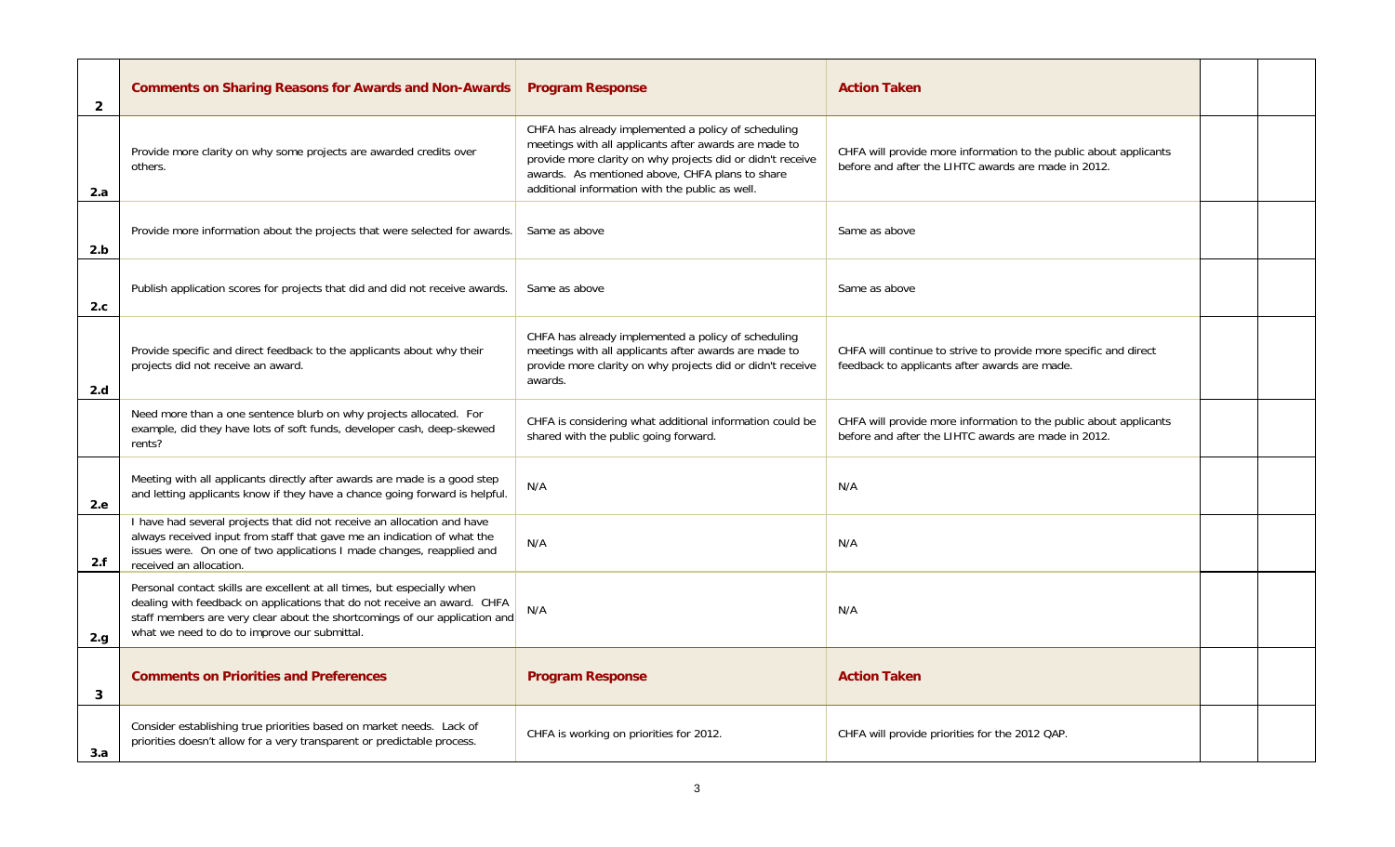| $\overline{2}$ | <b>Comments on Sharing Reasons for Awards and Non-Awards</b>                                                                                                                                                                                                                      | <b>Program Response</b>                                                                                                                                                                                                                                                          | <b>Action Taken</b>                                                                                                      |  |
|----------------|-----------------------------------------------------------------------------------------------------------------------------------------------------------------------------------------------------------------------------------------------------------------------------------|----------------------------------------------------------------------------------------------------------------------------------------------------------------------------------------------------------------------------------------------------------------------------------|--------------------------------------------------------------------------------------------------------------------------|--|
| 2.a            | Provide more clarity on why some projects are awarded credits over<br>others.                                                                                                                                                                                                     | CHFA has already implemented a policy of scheduling<br>meetings with all applicants after awards are made to<br>provide more clarity on why projects did or didn't receive<br>awards. As mentioned above, CHFA plans to share<br>additional information with the public as well. | CHFA will provide more information to the public about applicants<br>before and after the LIHTC awards are made in 2012. |  |
| 2.b            | Provide more information about the projects that were selected for awards.                                                                                                                                                                                                        | Same as above                                                                                                                                                                                                                                                                    | Same as above                                                                                                            |  |
| 2.c            | Publish application scores for projects that did and did not receive awards.                                                                                                                                                                                                      | Same as above                                                                                                                                                                                                                                                                    | Same as above                                                                                                            |  |
| 2.d            | Provide specific and direct feedback to the applicants about why their<br>projects did not receive an award.                                                                                                                                                                      | CHFA has already implemented a policy of scheduling<br>meetings with all applicants after awards are made to<br>provide more clarity on why projects did or didn't receive<br>awards.                                                                                            | CHFA will continue to strive to provide more specific and direct<br>feedback to applicants after awards are made.        |  |
|                | Need more than a one sentence blurb on why projects allocated. For<br>example, did they have lots of soft funds, developer cash, deep-skewed<br>rents?                                                                                                                            | CHFA is considering what additional information could be<br>shared with the public going forward.                                                                                                                                                                                | CHFA will provide more information to the public about applicants<br>before and after the LIHTC awards are made in 2012. |  |
| 2.e.           | Meeting with all applicants directly after awards are made is a good step<br>and letting applicants know if they have a chance going forward is helpful.                                                                                                                          | N/A                                                                                                                                                                                                                                                                              | N/A                                                                                                                      |  |
| 2.f            | I have had several projects that did not receive an allocation and have<br>always received input from staff that gave me an indication of what the<br>issues were. On one of two applications I made changes, reapplied and<br>received an allocation.                            | N/A                                                                                                                                                                                                                                                                              | N/A                                                                                                                      |  |
| 2.g            | Personal contact skills are excellent at all times, but especially when<br>dealing with feedback on applications that do not receive an award. CHFA<br>staff members are very clear about the shortcomings of our application and<br>what we need to do to improve our submittal. | N/A                                                                                                                                                                                                                                                                              | N/A                                                                                                                      |  |
| 3              | <b>Comments on Priorities and Preferences</b>                                                                                                                                                                                                                                     | <b>Program Response</b>                                                                                                                                                                                                                                                          | <b>Action Taken</b>                                                                                                      |  |
| 3.a            | Consider establishing true priorities based on market needs. Lack of<br>priorities doesn't allow for a very transparent or predictable process.                                                                                                                                   | CHFA is working on priorities for 2012.                                                                                                                                                                                                                                          | CHFA will provide priorities for the 2012 QAP.                                                                           |  |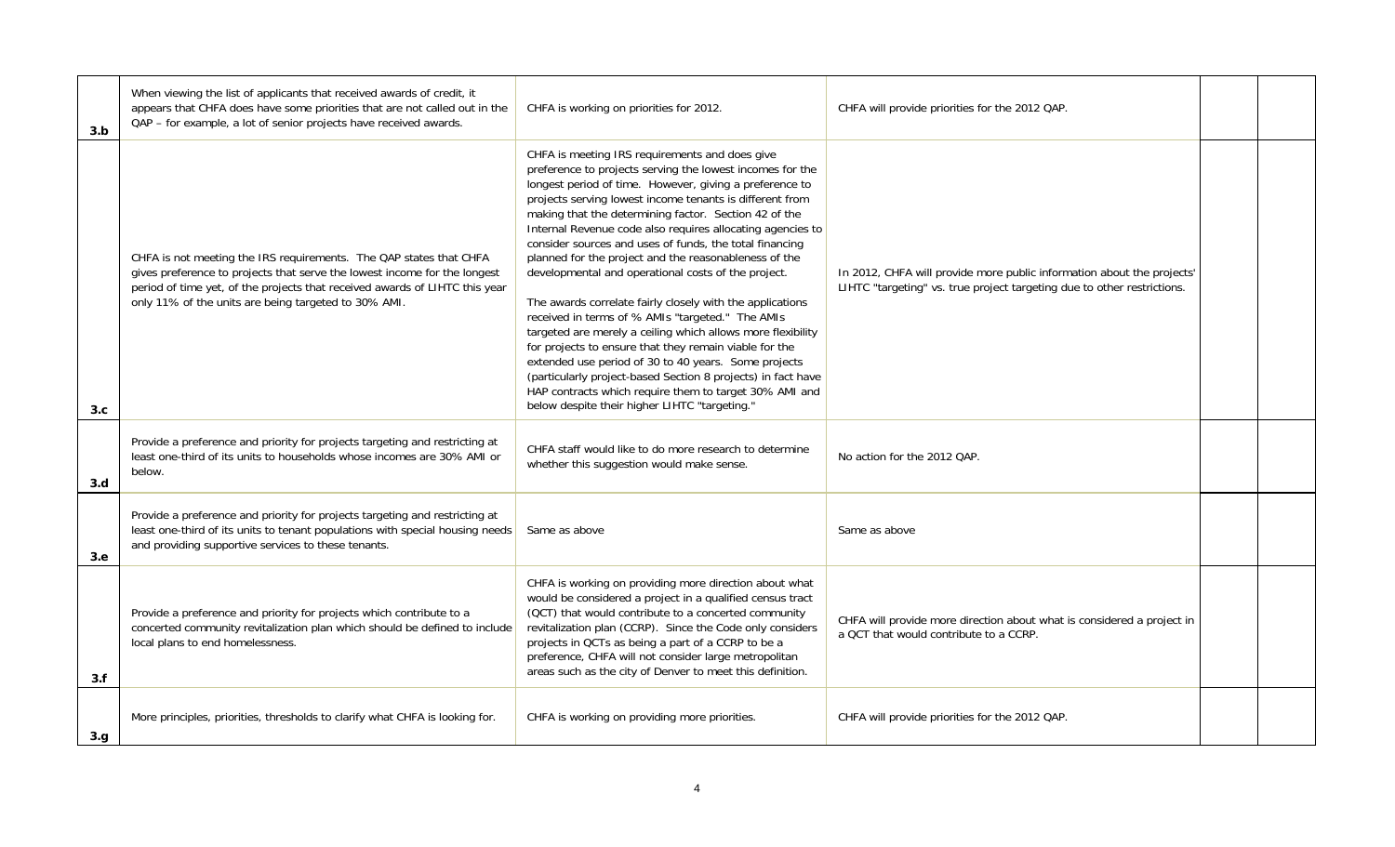| 3.b  | When viewing the list of applicants that received awards of credit, it<br>appears that CHFA does have some priorities that are not called out in the<br>QAP - for example, a lot of senior projects have received awards.                                                              | CHFA is working on priorities for 2012.                                                                                                                                                                                                                                                                                                                                                                                                                                                                                                                                                                                                                                                                                                                                                                                                                                                                                                                                                                           | CHFA will provide priorities for the 2012 QAP.                                                                                                    |  |
|------|----------------------------------------------------------------------------------------------------------------------------------------------------------------------------------------------------------------------------------------------------------------------------------------|-------------------------------------------------------------------------------------------------------------------------------------------------------------------------------------------------------------------------------------------------------------------------------------------------------------------------------------------------------------------------------------------------------------------------------------------------------------------------------------------------------------------------------------------------------------------------------------------------------------------------------------------------------------------------------------------------------------------------------------------------------------------------------------------------------------------------------------------------------------------------------------------------------------------------------------------------------------------------------------------------------------------|---------------------------------------------------------------------------------------------------------------------------------------------------|--|
| 3.c  | CHFA is not meeting the IRS requirements. The QAP states that CHFA<br>gives preference to projects that serve the lowest income for the longest<br>period of time yet, of the projects that received awards of LIHTC this year<br>only 11% of the units are being targeted to 30% AMI. | CHFA is meeting IRS requirements and does give<br>preference to projects serving the lowest incomes for the<br>longest period of time. However, giving a preference to<br>projects serving lowest income tenants is different from<br>making that the determining factor. Section 42 of the<br>Internal Revenue code also requires allocating agencies to<br>consider sources and uses of funds, the total financing<br>planned for the project and the reasonableness of the<br>developmental and operational costs of the project.<br>The awards correlate fairly closely with the applications<br>received in terms of % AMIs "targeted." The AMIs<br>targeted are merely a ceiling which allows more flexibility<br>for projects to ensure that they remain viable for the<br>extended use period of 30 to 40 years. Some projects<br>(particularly project-based Section 8 projects) in fact have<br>HAP contracts which require them to target 30% AMI and<br>below despite their higher LIHTC "targeting." | In 2012, CHFA will provide more public information about the projects'<br>LIHTC "targeting" vs. true project targeting due to other restrictions. |  |
| 3.d  | Provide a preference and priority for projects targeting and restricting at<br>least one-third of its units to households whose incomes are 30% AMI or<br>below.                                                                                                                       | CHFA staff would like to do more research to determine<br>whether this suggestion would make sense.                                                                                                                                                                                                                                                                                                                                                                                                                                                                                                                                                                                                                                                                                                                                                                                                                                                                                                               | No action for the 2012 QAP.                                                                                                                       |  |
| 3.e. | Provide a preference and priority for projects targeting and restricting at<br>least one-third of its units to tenant populations with special housing needs<br>and providing supportive services to these tenants.                                                                    | Same as above                                                                                                                                                                                                                                                                                                                                                                                                                                                                                                                                                                                                                                                                                                                                                                                                                                                                                                                                                                                                     | Same as above                                                                                                                                     |  |
| 3.f  | Provide a preference and priority for projects which contribute to a<br>concerted community revitalization plan which should be defined to include<br>local plans to end homelessness.                                                                                                 | CHFA is working on providing more direction about what<br>would be considered a project in a qualified census tract<br>(QCT) that would contribute to a concerted community<br>revitalization plan (CCRP). Since the Code only considers<br>projects in QCTs as being a part of a CCRP to be a<br>preference, CHFA will not consider large metropolitan<br>areas such as the city of Denver to meet this definition.                                                                                                                                                                                                                                                                                                                                                                                                                                                                                                                                                                                              | CHFA will provide more direction about what is considered a project in<br>a QCT that would contribute to a CCRP.                                  |  |
| 3.g. | More principles, priorities, thresholds to clarify what CHFA is looking for.                                                                                                                                                                                                           | CHFA is working on providing more priorities.                                                                                                                                                                                                                                                                                                                                                                                                                                                                                                                                                                                                                                                                                                                                                                                                                                                                                                                                                                     | CHFA will provide priorities for the 2012 QAP.                                                                                                    |  |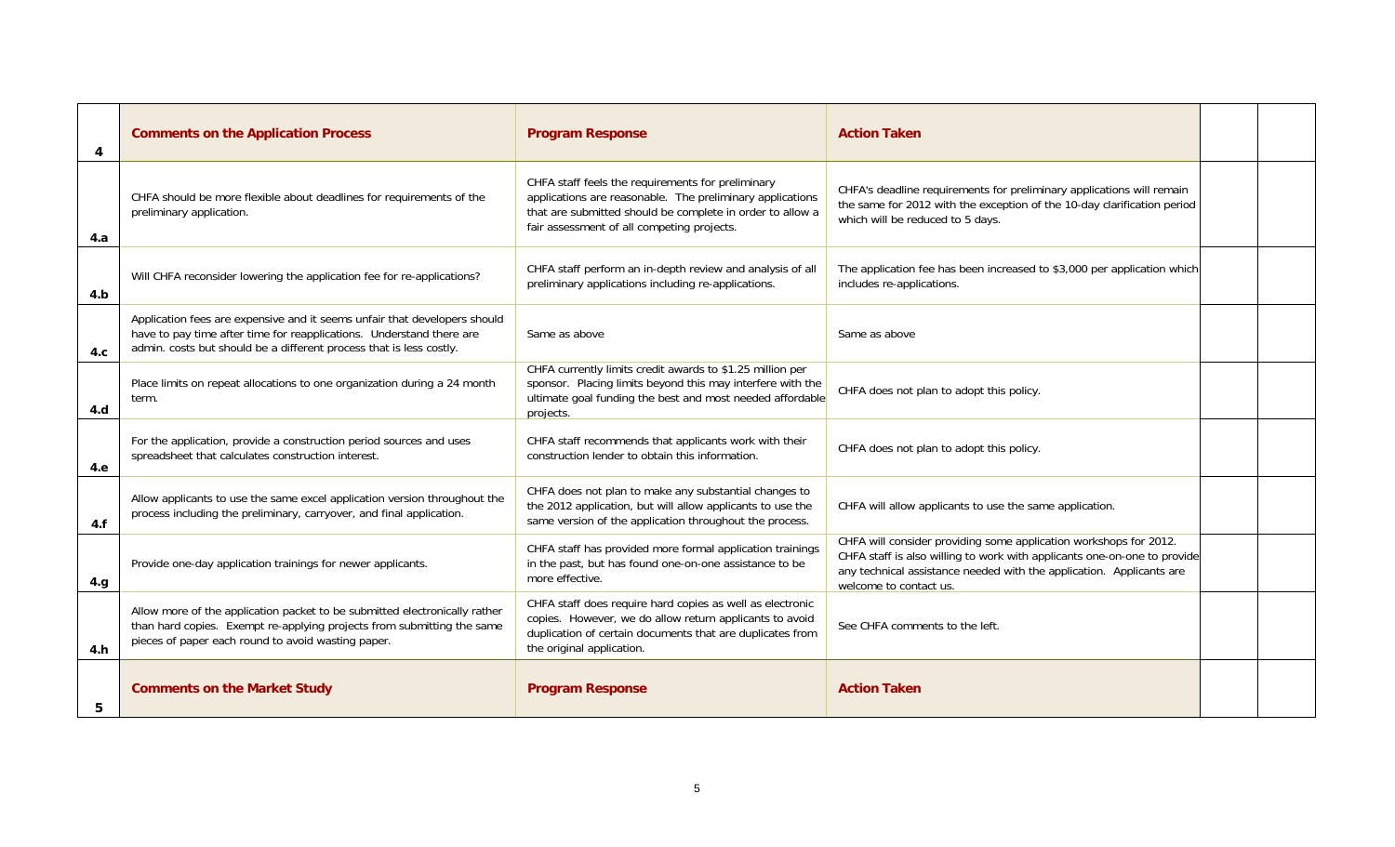| 4   | <b>Comments on the Application Process</b>                                                                                                                                                                               | <b>Program Response</b>                                                                                                                                                                                                   | <b>Action Taken</b>                                                                                                                                                                                                                             |  |
|-----|--------------------------------------------------------------------------------------------------------------------------------------------------------------------------------------------------------------------------|---------------------------------------------------------------------------------------------------------------------------------------------------------------------------------------------------------------------------|-------------------------------------------------------------------------------------------------------------------------------------------------------------------------------------------------------------------------------------------------|--|
| 4.a | CHFA should be more flexible about deadlines for requirements of the<br>preliminary application.                                                                                                                         | CHFA staff feels the requirements for preliminary<br>applications are reasonable. The preliminary applications<br>that are submitted should be complete in order to allow a<br>fair assessment of all competing projects. | CHFA's deadline requirements for preliminary applications will remain<br>the same for 2012 with the exception of the 10-day clarification period<br>which will be reduced to 5 days.                                                            |  |
| 4.b | Will CHFA reconsider lowering the application fee for re-applications?                                                                                                                                                   | CHFA staff perform an in-depth review and analysis of all<br>preliminary applications including re-applications.                                                                                                          | The application fee has been increased to \$3,000 per application which<br>includes re-applications.                                                                                                                                            |  |
| 4.c | Application fees are expensive and it seems unfair that developers should<br>have to pay time after time for reapplications. Understand there are<br>admin. costs but should be a different process that is less costly. | Same as above                                                                                                                                                                                                             | Same as above                                                                                                                                                                                                                                   |  |
| 4.d | Place limits on repeat allocations to one organization during a 24 month<br>term.                                                                                                                                        | CHFA currently limits credit awards to \$1.25 million per<br>sponsor. Placing limits beyond this may interfere with the<br>ultimate goal funding the best and most needed affordable<br>projects.                         | CHFA does not plan to adopt this policy.                                                                                                                                                                                                        |  |
| 4.e | For the application, provide a construction period sources and uses<br>spreadsheet that calculates construction interest.                                                                                                | CHFA staff recommends that applicants work with their<br>construction lender to obtain this information.                                                                                                                  | CHFA does not plan to adopt this policy.                                                                                                                                                                                                        |  |
| 4.f | Allow applicants to use the same excel application version throughout the<br>process including the preliminary, carryover, and final application.                                                                        | CHFA does not plan to make any substantial changes to<br>the 2012 application, but will allow applicants to use the<br>same version of the application throughout the process.                                            | CHFA will allow applicants to use the same application.                                                                                                                                                                                         |  |
| 4.g | Provide one-day application trainings for newer applicants.                                                                                                                                                              | CHFA staff has provided more formal application trainings<br>in the past, but has found one-on-one assistance to be<br>more effective.                                                                                    | CHFA will consider providing some application workshops for 2012.<br>CHFA staff is also willing to work with applicants one-on-one to provide<br>any technical assistance needed with the application. Applicants are<br>welcome to contact us. |  |
| 4.h | Allow more of the application packet to be submitted electronically rather<br>than hard copies. Exempt re-applying projects from submitting the same<br>pieces of paper each round to avoid wasting paper.               | CHFA staff does require hard copies as well as electronic<br>copies. However, we do allow return applicants to avoid<br>duplication of certain documents that are duplicates from<br>the original application.            | See CHFA comments to the left.                                                                                                                                                                                                                  |  |
| 5   | <b>Comments on the Market Study</b>                                                                                                                                                                                      | <b>Program Response</b>                                                                                                                                                                                                   | <b>Action Taken</b>                                                                                                                                                                                                                             |  |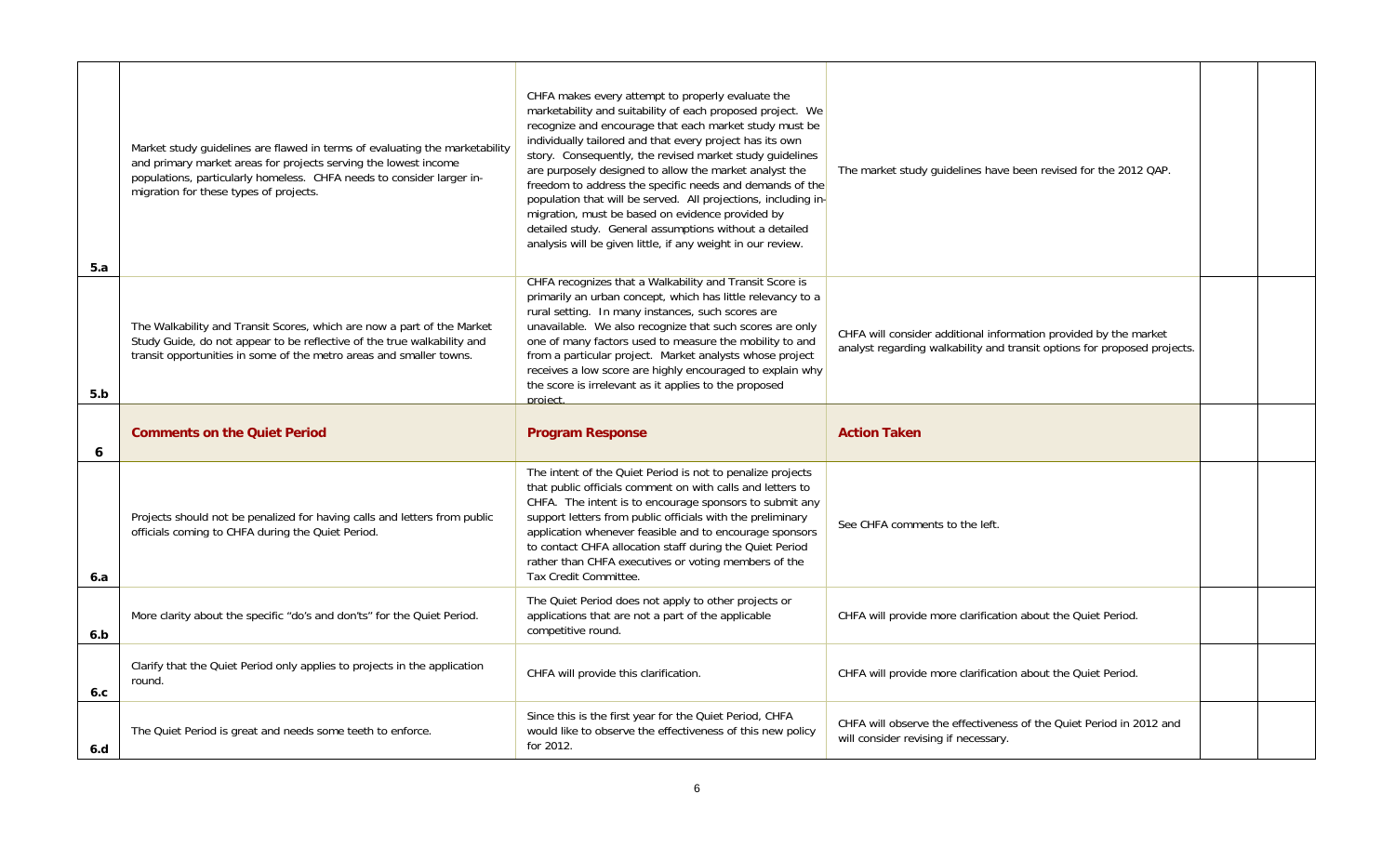| 5.a | Market study quidelines are flawed in terms of evaluating the marketability<br>and primary market areas for projects serving the lowest income<br>populations, particularly homeless. CHFA needs to consider larger in-<br>migration for these types of projects. | CHFA makes every attempt to properly evaluate the<br>marketability and suitability of each proposed project. We<br>recognize and encourage that each market study must be<br>individually tailored and that every project has its own<br>story. Consequently, the revised market study quidelines<br>are purposely designed to allow the market analyst the<br>freedom to address the specific needs and demands of the<br>population that will be served. All projections, including in-<br>migration, must be based on evidence provided by<br>detailed study. General assumptions without a detailed<br>analysis will be given little, if any weight in our review. | The market study quidelines have been revised for the 2012 QAP.                                                                              |  |
|-----|-------------------------------------------------------------------------------------------------------------------------------------------------------------------------------------------------------------------------------------------------------------------|------------------------------------------------------------------------------------------------------------------------------------------------------------------------------------------------------------------------------------------------------------------------------------------------------------------------------------------------------------------------------------------------------------------------------------------------------------------------------------------------------------------------------------------------------------------------------------------------------------------------------------------------------------------------|----------------------------------------------------------------------------------------------------------------------------------------------|--|
| 5.b | The Walkability and Transit Scores, which are now a part of the Market<br>Study Guide, do not appear to be reflective of the true walkability and<br>transit opportunities in some of the metro areas and smaller towns.                                          | CHFA recognizes that a Walkability and Transit Score is<br>primarily an urban concept, which has little relevancy to a<br>rural setting. In many instances, such scores are<br>unavailable. We also recognize that such scores are only<br>one of many factors used to measure the mobility to and<br>from a particular project. Market analysts whose project<br>receives a low score are highly encouraged to explain why<br>the score is irrelevant as it applies to the proposed<br>project.                                                                                                                                                                       | CHFA will consider additional information provided by the market<br>analyst regarding walkability and transit options for proposed projects. |  |
|     |                                                                                                                                                                                                                                                                   |                                                                                                                                                                                                                                                                                                                                                                                                                                                                                                                                                                                                                                                                        |                                                                                                                                              |  |
| 6   | <b>Comments on the Quiet Period</b>                                                                                                                                                                                                                               | <b>Program Response</b>                                                                                                                                                                                                                                                                                                                                                                                                                                                                                                                                                                                                                                                | <b>Action Taken</b>                                                                                                                          |  |
| 6.a | Projects should not be penalized for having calls and letters from public<br>officials coming to CHFA during the Quiet Period.                                                                                                                                    | The intent of the Quiet Period is not to penalize projects<br>that public officials comment on with calls and letters to<br>CHFA. The intent is to encourage sponsors to submit any<br>support letters from public officials with the preliminary<br>application whenever feasible and to encourage sponsors<br>to contact CHFA allocation staff during the Quiet Period<br>rather than CHFA executives or voting members of the<br>Tax Credit Committee.                                                                                                                                                                                                              | See CHFA comments to the left.                                                                                                               |  |
| 6.b | More clarity about the specific "do's and don'ts" for the Quiet Period.                                                                                                                                                                                           | The Quiet Period does not apply to other projects or<br>applications that are not a part of the applicable<br>competitive round.                                                                                                                                                                                                                                                                                                                                                                                                                                                                                                                                       | CHFA will provide more clarification about the Quiet Period.                                                                                 |  |
| 6.c | Clarify that the Quiet Period only applies to projects in the application<br>round.                                                                                                                                                                               | CHFA will provide this clarification.                                                                                                                                                                                                                                                                                                                                                                                                                                                                                                                                                                                                                                  | CHFA will provide more clarification about the Quiet Period.                                                                                 |  |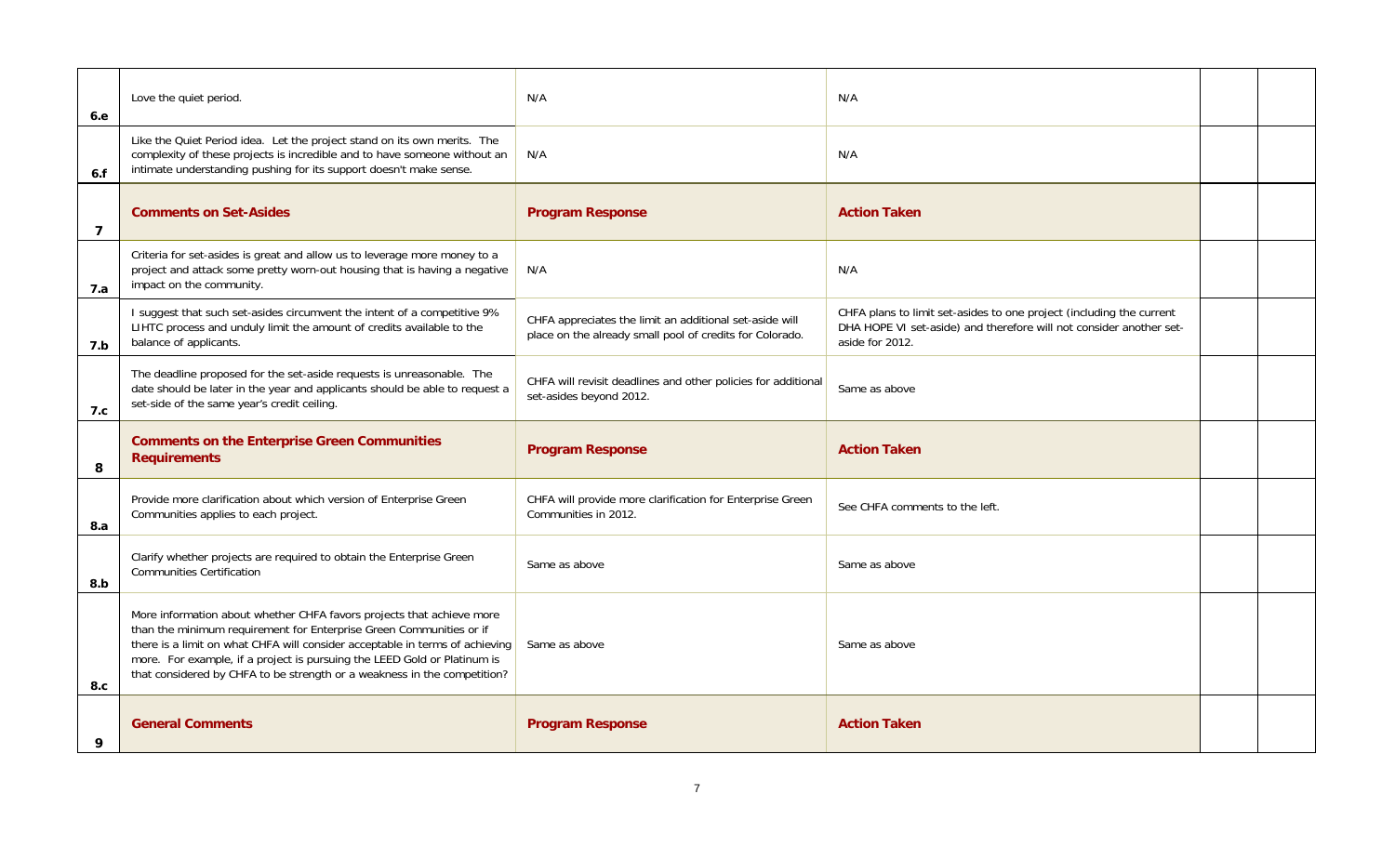| 6.e            | Love the quiet period.                                                                                                                                                                                                                                                                                                                                                               | N/A                                                                                                                 | N/A                                                                                                                                                            |  |
|----------------|--------------------------------------------------------------------------------------------------------------------------------------------------------------------------------------------------------------------------------------------------------------------------------------------------------------------------------------------------------------------------------------|---------------------------------------------------------------------------------------------------------------------|----------------------------------------------------------------------------------------------------------------------------------------------------------------|--|
| 6.f            | Like the Quiet Period idea. Let the project stand on its own merits. The<br>complexity of these projects is incredible and to have someone without an<br>intimate understanding pushing for its support doesn't make sense.                                                                                                                                                          | N/A                                                                                                                 | N/A                                                                                                                                                            |  |
| $\overline{7}$ | <b>Comments on Set-Asides</b>                                                                                                                                                                                                                                                                                                                                                        | <b>Program Response</b>                                                                                             | <b>Action Taken</b>                                                                                                                                            |  |
| 7.a            | Criteria for set-asides is great and allow us to leverage more money to a<br>project and attack some pretty worn-out housing that is having a negative<br>impact on the community.                                                                                                                                                                                                   | N/A                                                                                                                 | N/A                                                                                                                                                            |  |
| 7.b            | I suggest that such set-asides circumvent the intent of a competitive 9%<br>LIHTC process and unduly limit the amount of credits available to the<br>balance of applicants.                                                                                                                                                                                                          | CHFA appreciates the limit an additional set-aside will<br>place on the already small pool of credits for Colorado. | CHFA plans to limit set-asides to one project (including the current<br>DHA HOPE VI set-aside) and therefore will not consider another set-<br>aside for 2012. |  |
| 7.c            | The deadline proposed for the set-aside requests is unreasonable. The<br>date should be later in the year and applicants should be able to request a<br>set-side of the same year's credit ceiling.                                                                                                                                                                                  | CHFA will revisit deadlines and other policies for additional<br>set-asides beyond 2012.                            | Same as above                                                                                                                                                  |  |
| 8              | <b>Comments on the Enterprise Green Communities</b><br><b>Requirements</b>                                                                                                                                                                                                                                                                                                           | <b>Program Response</b>                                                                                             | <b>Action Taken</b>                                                                                                                                            |  |
| 8.a            | Provide more clarification about which version of Enterprise Green<br>Communities applies to each project.                                                                                                                                                                                                                                                                           | CHFA will provide more clarification for Enterprise Green<br>Communities in 2012.                                   | See CHFA comments to the left.                                                                                                                                 |  |
| 8.b            | Clarify whether projects are required to obtain the Enterprise Green<br><b>Communities Certification</b>                                                                                                                                                                                                                                                                             | Same as above                                                                                                       | Same as above                                                                                                                                                  |  |
| 8.c            | More information about whether CHFA favors projects that achieve more<br>than the minimum requirement for Enterprise Green Communities or if<br>there is a limit on what CHFA will consider acceptable in terms of achieving<br>more. For example, if a project is pursuing the LEED Gold or Platinum is<br>that considered by CHFA to be strength or a weakness in the competition? | Same as above                                                                                                       | Same as above                                                                                                                                                  |  |
| 9              | <b>General Comments</b>                                                                                                                                                                                                                                                                                                                                                              | <b>Program Response</b>                                                                                             | <b>Action Taken</b>                                                                                                                                            |  |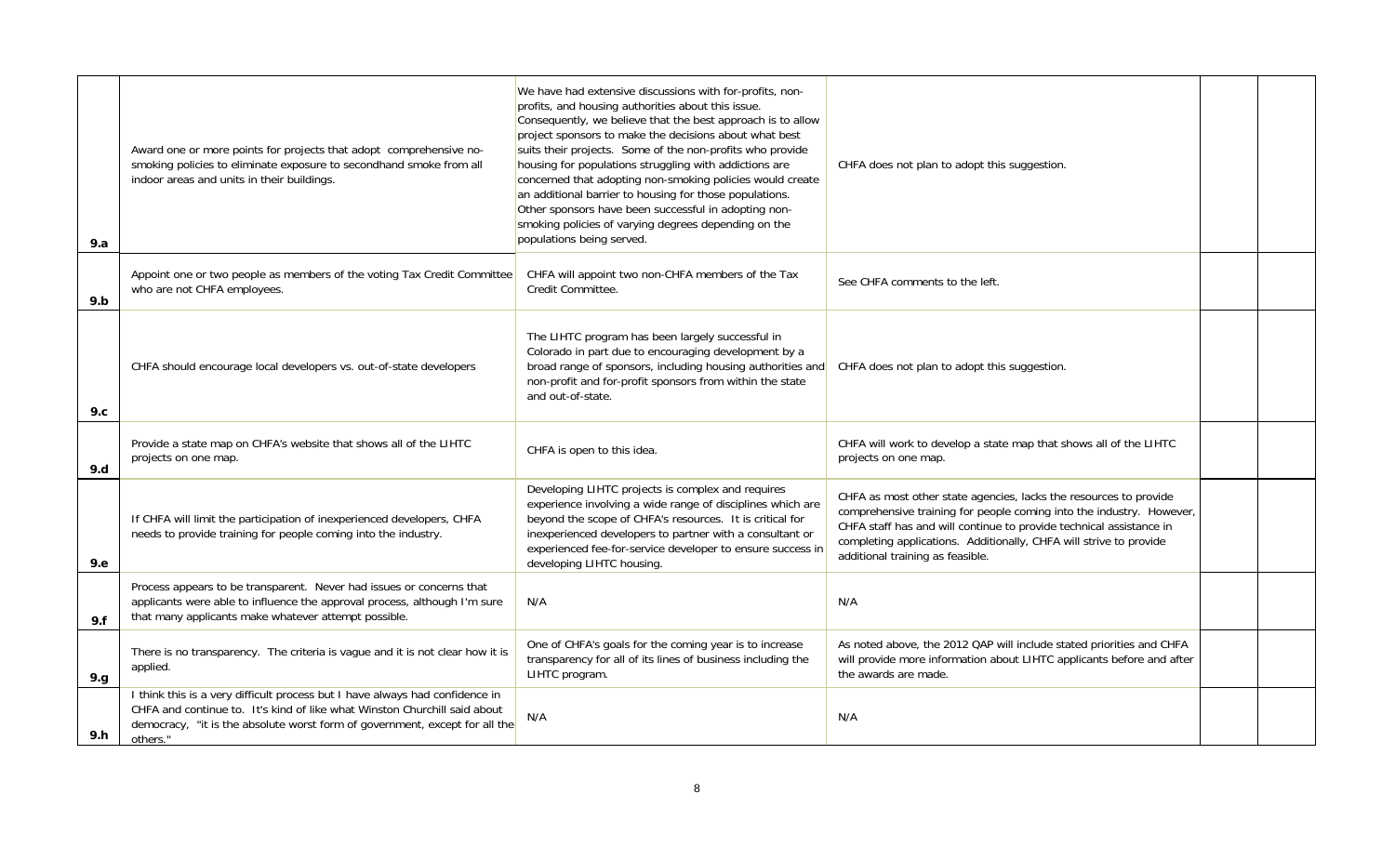| 9.a  | Award one or more points for projects that adopt comprehensive no-<br>smoking policies to eliminate exposure to secondhand smoke from all<br>indoor areas and units in their buildings.                                                              | We have had extensive discussions with for-profits, non-<br>profits, and housing authorities about this issue.<br>Consequently, we believe that the best approach is to allow<br>project sponsors to make the decisions about what best<br>suits their projects. Some of the non-profits who provide<br>housing for populations struggling with addictions are<br>concerned that adopting non-smoking policies would create<br>an additional barrier to housing for those populations.<br>Other sponsors have been successful in adopting non-<br>smoking policies of varying degrees depending on the<br>populations being served. | CHFA does not plan to adopt this suggestion.                                                                                                                                                                                                                                                                               |  |
|------|------------------------------------------------------------------------------------------------------------------------------------------------------------------------------------------------------------------------------------------------------|-------------------------------------------------------------------------------------------------------------------------------------------------------------------------------------------------------------------------------------------------------------------------------------------------------------------------------------------------------------------------------------------------------------------------------------------------------------------------------------------------------------------------------------------------------------------------------------------------------------------------------------|----------------------------------------------------------------------------------------------------------------------------------------------------------------------------------------------------------------------------------------------------------------------------------------------------------------------------|--|
| 9.b  | Appoint one or two people as members of the voting Tax Credit Committee<br>who are not CHFA employees.                                                                                                                                               | CHFA will appoint two non-CHFA members of the Tax<br>Credit Committee.                                                                                                                                                                                                                                                                                                                                                                                                                                                                                                                                                              | See CHFA comments to the left.                                                                                                                                                                                                                                                                                             |  |
| 9.c  | CHFA should encourage local developers vs. out-of-state developers                                                                                                                                                                                   | The LIHTC program has been largely successful in<br>Colorado in part due to encouraging development by a<br>broad range of sponsors, including housing authorities and<br>non-profit and for-profit sponsors from within the state<br>and out-of-state.                                                                                                                                                                                                                                                                                                                                                                             | CHFA does not plan to adopt this suggestion.                                                                                                                                                                                                                                                                               |  |
| 9.d  | Provide a state map on CHFA's website that shows all of the LIHTC<br>projects on one map.                                                                                                                                                            | CHFA is open to this idea.                                                                                                                                                                                                                                                                                                                                                                                                                                                                                                                                                                                                          | CHFA will work to develop a state map that shows all of the LIHTC<br>projects on one map.                                                                                                                                                                                                                                  |  |
| 9.e  | If CHFA will limit the participation of inexperienced developers, CHFA<br>needs to provide training for people coming into the industry.                                                                                                             | Developing LIHTC projects is complex and requires<br>experience involving a wide range of disciplines which are<br>beyond the scope of CHFA's resources. It is critical for<br>inexperienced developers to partner with a consultant or<br>experienced fee-for-service developer to ensure success in<br>developing LIHTC housing.                                                                                                                                                                                                                                                                                                  | CHFA as most other state agencies, lacks the resources to provide<br>comprehensive training for people coming into the industry. However,<br>CHFA staff has and will continue to provide technical assistance in<br>completing applications. Additionally, CHFA will strive to provide<br>additional training as feasible. |  |
| 9.f  | Process appears to be transparent. Never had issues or concerns that<br>applicants were able to influence the approval process, although I'm sure<br>that many applicants make whatever attempt possible.                                            | N/A                                                                                                                                                                                                                                                                                                                                                                                                                                                                                                                                                                                                                                 | N/A                                                                                                                                                                                                                                                                                                                        |  |
| 9.g. | There is no transparency. The criteria is vague and it is not clear how it is<br>applied.                                                                                                                                                            | One of CHFA's goals for the coming year is to increase<br>transparency for all of its lines of business including the<br>LIHTC program.                                                                                                                                                                                                                                                                                                                                                                                                                                                                                             | As noted above, the 2012 QAP will include stated priorities and CHFA<br>will provide more information about LIHTC applicants before and after<br>the awards are made.                                                                                                                                                      |  |
| 9.h  | I think this is a very difficult process but I have always had confidence in<br>CHFA and continue to. It's kind of like what Winston Churchill said about<br>democracy, "it is the absolute worst form of government, except for all the<br>others." | N/A                                                                                                                                                                                                                                                                                                                                                                                                                                                                                                                                                                                                                                 | N/A                                                                                                                                                                                                                                                                                                                        |  |